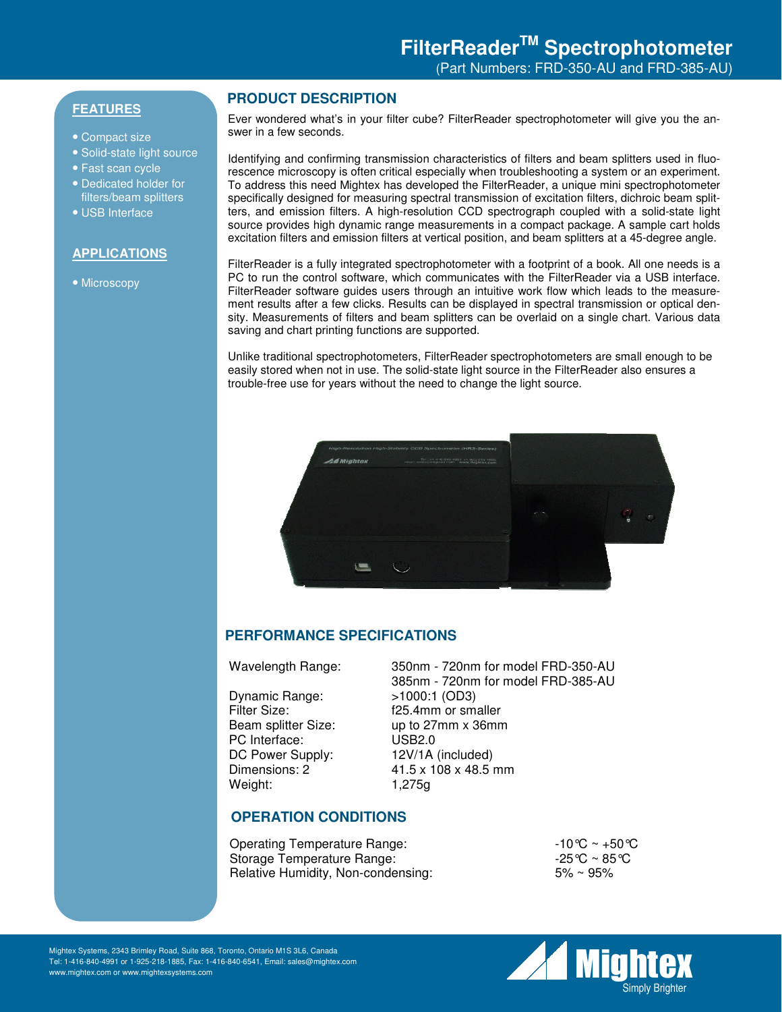# **FEATURES**

- Compact size
- Solid-state light source
- Fast scan cycle
- Dedicated holder for filters/beam splitters
- USB Interface

#### **APPLICATIONS**

• Microscopy

### **PRODUCT DESCRIPTION**

Ever wondered what's in your filter cube? FilterReader spectrophotometer will give you the answer in a few seconds.

Identifying and confirming transmission characteristics of filters and beam splitters used in fluorescence microscopy is often critical especially when troubleshooting a system or an experiment. To address this need Mightex has developed the FilterReader, a unique mini spectrophotometer specifically designed for measuring spectral transmission of excitation filters, dichroic beam splitters, and emission filters. A high-resolution CCD spectrograph coupled with a solid-state light source provides high dynamic range measurements in a compact package. A sample cart holds excitation filters and emission filters at vertical position, and beam splitters at a 45-degree angle.

FilterReader is a fully integrated spectrophotometer with a footprint of a book. All one needs is a PC to run the control software, which communicates with the FilterReader via a USB interface. FilterReader software guides users through an intuitive work flow which leads to the measurement results after a few clicks. Results can be displayed in spectral transmission or optical density. Measurements of filters and beam splitters can be overlaid on a single chart. Various data saving and chart printing functions are supported.

Unlike traditional spectrophotometers, FilterReader spectrophotometers are small enough to be easily stored when not in use. The solid-state light source in the FilterReader also ensures a trouble-free use for years without the need to change the light source.



### **PERFORMANCE SPECIFICATIONS**

Dynamic Range:  $>1000:1$  (OD3)<br>Filter Size: f25.4mm or sm. PC Interface: USB2.0 DC Power Supply: 12V/1A (included) Weight: 1,275g

Wavelength Range: 350nm - 720nm for model FRD-350-AU 385nm - 720nm for model FRD-385-AU f25.4mm or smaller Beam splitter Size: up to 27mm x 36mm Dimensions: 2 41.5 x 108 x 48.5 mm

# **OPERATION CONDITIONS**

| Operating Temperature Range:       | $-10^{\circ}$ C ~ +50 °C |
|------------------------------------|--------------------------|
| Storage Temperature Range:         | -25℃ ~ 85℃               |
| Relative Humidity, Non-condensing: | $5\%$ ~ 95%              |



Mightex Systems, 2343 Brimley Road, Suite 868, Toronto, Ontario M1S 3L6, Canada Tel: 1-416-840-4991 or 1-925-218-1885, Fax: 1-416-840-6541, Email: sales@mightex.com www.mightex.com or www.mightexsystems.com